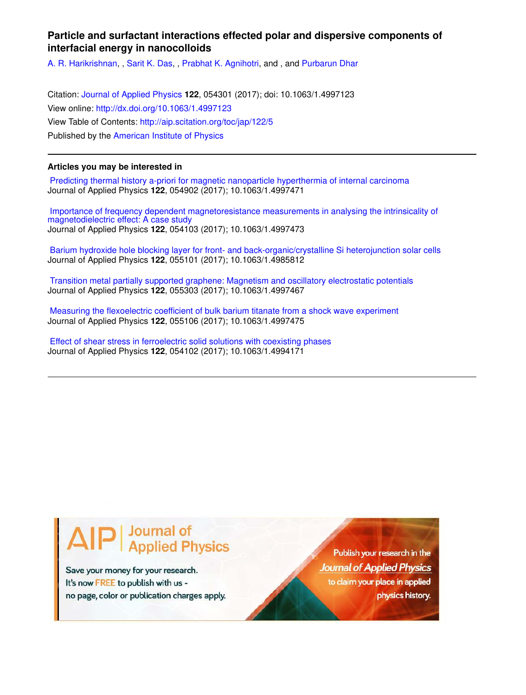## **Particle and surfactant interactions effected polar and dispersive components of interfacial energy in nanocolloids**

A. R. Harikrishnan, , Sarit K. Das, , Prabhat K. Agnihotri, and , and Purbarun Dhar

Citation: Journal of Applied Physics **122**, 054301 (2017); doi: 10.1063/1.4997123 View online: http://dx.doi.org/10.1063/1.4997123 View Table of Contents: http://aip.scitation.org/toc/jap/122/5 Published by the American Institute of Physics

## **Articles you may be interested in**

 Predicting thermal history a-priori for magnetic nanoparticle hyperthermia of internal carcinoma Journal of Applied Physics **122**, 054902 (2017); 10.1063/1.4997471

 Importance of frequency dependent magnetoresistance measurements in analysing the intrinsicality of magnetodielectric effect: A case study Journal of Applied Physics **122**, 054103 (2017); 10.1063/1.4997473

 Barium hydroxide hole blocking layer for front- and back-organic/crystalline Si heterojunction solar cells Journal of Applied Physics **122**, 055101 (2017); 10.1063/1.4985812

 Transition metal partially supported graphene: Magnetism and oscillatory electrostatic potentials Journal of Applied Physics **122**, 055303 (2017); 10.1063/1.4997467

 Measuring the flexoelectric coefficient of bulk barium titanate from a shock wave experiment Journal of Applied Physics **122**, 055106 (2017); 10.1063/1.4997475

 Effect of shear stress in ferroelectric solid solutions with coexisting phases Journal of Applied Physics **122**, 054102 (2017); 10.1063/1.4994171

# **Journal of<br>Applied Physics**

Save your money for your research. It's now FREE to publish with us no page, color or publication charges apply.

Publish your research in the **Journal of Applied Physics** to claim your place in applied physics history.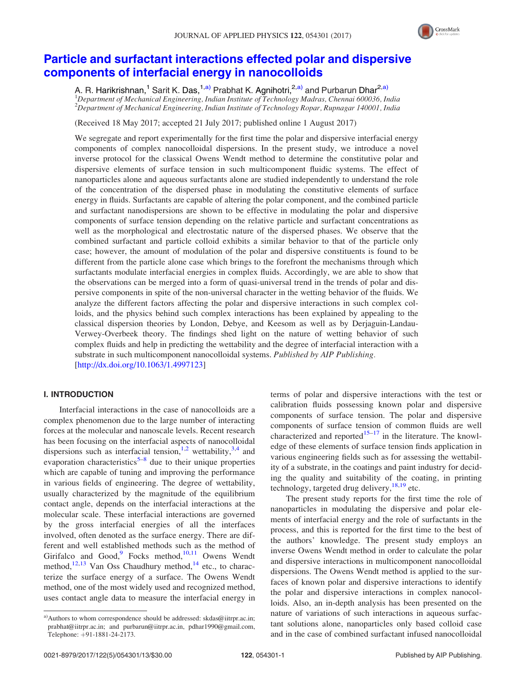

# Particle and surfactant interactions effected polar and dispersive components of interfacial energy in nanocolloids

A. R. Harikrishnan,<sup>1</sup> Sarit K. Das,<sup>1,a)</sup> Prabhat K. Agnihotri,<sup>2,a)</sup> and Purbarun Dhar<sup>2,a)</sup> <sup>1</sup>Department of Mechanical Engineering, Indian Institute of Technology Madras, Chennai 600036, India <sup>2</sup>Department of Mechanical Engineering, Indian Institute of Technology Ropar, Rupnagar 140001, India

(Received 18 May 2017; accepted 21 July 2017; published online 1 August 2017)

We segregate and report experimentally for the first time the polar and dispersive interfacial energy components of complex nanocolloidal dispersions. In the present study, we introduce a novel inverse protocol for the classical Owens Wendt method to determine the constitutive polar and dispersive elements of surface tension in such multicomponent fluidic systems. The effect of nanoparticles alone and aqueous surfactants alone are studied independently to understand the role of the concentration of the dispersed phase in modulating the constitutive elements of surface energy in fluids. Surfactants are capable of altering the polar component, and the combined particle and surfactant nanodispersions are shown to be effective in modulating the polar and dispersive components of surface tension depending on the relative particle and surfactant concentrations as well as the morphological and electrostatic nature of the dispersed phases. We observe that the combined surfactant and particle colloid exhibits a similar behavior to that of the particle only case; however, the amount of modulation of the polar and dispersive constituents is found to be different from the particle alone case which brings to the forefront the mechanisms through which surfactants modulate interfacial energies in complex fluids. Accordingly, we are able to show that the observations can be merged into a form of quasi-universal trend in the trends of polar and dispersive components in spite of the non-universal character in the wetting behavior of the fluids. We analyze the different factors affecting the polar and dispersive interactions in such complex colloids, and the physics behind such complex interactions has been explained by appealing to the classical dispersion theories by London, Debye, and Keesom as well as by Derjaguin-Landau-Verwey-Overbeek theory. The findings shed light on the nature of wetting behavior of such complex fluids and help in predicting the wettability and the degree of interfacial interaction with a substrate in such multicomponent nanocolloidal systems. Published by AIP Publishing. [http://dx.doi.org/10.1063/1.4997123]

### I. INTRODUCTION

Interfacial interactions in the case of nanocolloids are a complex phenomenon due to the large number of interacting forces at the molecular and nanoscale levels. Recent research has been focusing on the interfacial aspects of nanocolloidal dispersions such as interfacial tension,  $1,2$  wettability,  $3,4$  and evaporation characteristics<sup>5–8</sup> due to their unique properties which are capable of tuning and improving the performance in various fields of engineering. The degree of wettability, usually characterized by the magnitude of the equilibrium contact angle, depends on the interfacial interactions at the molecular scale. These interfacial interactions are governed by the gross interfacial energies of all the interfaces involved, often denoted as the surface energy. There are different and well established methods such as the method of Girifalco and Good, Focks method,  $10,11$  Owens Wendt method, $12,13$  Van Oss Chaudhury method, $14$  etc., to characterize the surface energy of a surface. The Owens Wendt method, one of the most widely used and recognized method, uses contact angle data to measure the interfacial energy in

terms of polar and dispersive interactions with the test or calibration fluids possessing known polar and dispersive components of surface tension. The polar and dispersive components of surface tension of common fluids are well characterized and reported<sup>15–17</sup> in the literature. The knowledge of these elements of surface tension finds application in various engineering fields such as for assessing the wettability of a substrate, in the coatings and paint industry for deciding the quality and suitability of the coating, in printing technology, targeted drug delivery,  $^{18,19}$  etc.

The present study reports for the first time the role of nanoparticles in modulating the dispersive and polar elements of interfacial energy and the role of surfactants in the process, and this is reported for the first time to the best of the authors' knowledge. The present study employs an inverse Owens Wendt method in order to calculate the polar and dispersive interactions in multicomponent nanocolloidal dispersions. The Owens Wendt method is applied to the surfaces of known polar and dispersive interactions to identify the polar and dispersive interactions in complex nanocolloids. Also, an in-depth analysis has been presented on the nature of variations of such interactions in aqueous surfactant solutions alone, nanoparticles only based colloid case and in the case of combined surfactant infused nanocolloidal

a)Authors to whom correspondence should be addressed: skdas@iitrpr.ac.in; prabhat@iitrpr.ac.in; and purbarun@iitrpr.ac.in, pdhar1990@gmail.com, Telephone: +91-1881-24-2173.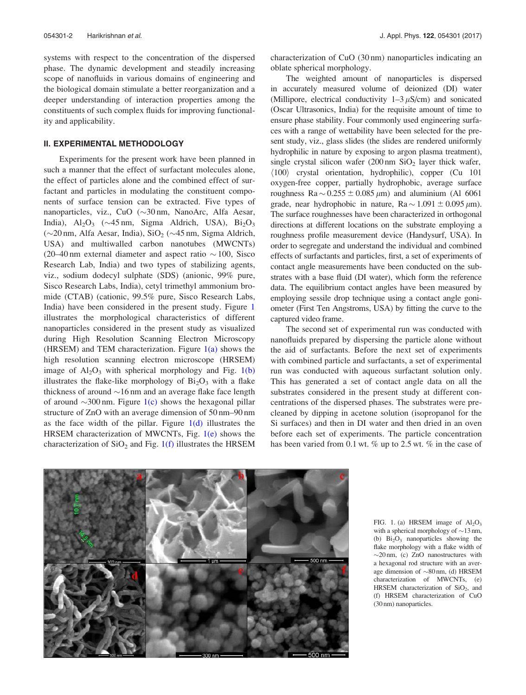systems with respect to the concentration of the dispersed phase. The dynamic development and steadily increasing scope of nanofluids in various domains of engineering and the biological domain stimulate a better reorganization and a deeper understanding of interaction properties among the constituents of such complex fluids for improving functionality and applicability.

#### II. EXPERIMENTAL METHODOLOGY

Experiments for the present work have been planned in such a manner that the effect of surfactant molecules alone, the effect of particles alone and the combined effect of surfactant and particles in modulating the constituent components of surface tension can be extracted. Five types of nanoparticles, viz., CuO (~30 nm, NanoArc, Alfa Aesar, India),  $Al_2O_3$  ( $\sim$ 45 nm, Sigma Aldrich, USA), Bi<sub>2</sub>O<sub>3</sub>  $(\sim 20 \text{ nm}, \text{Alfa Aesar}, \text{India}), \text{SiO}_2 (\sim 45 \text{ nm}, \text{Sigma Aldrich},$ USA) and multiwalled carbon nanotubes (MWCNTs) (20–40 nm external diameter and aspect ratio  $\sim$  100, Sisco Research Lab, India) and two types of stabilizing agents, viz., sodium dodecyl sulphate (SDS) (anionic, 99% pure, Sisco Research Labs, India), cetyl trimethyl ammonium bromide (CTAB) (cationic, 99.5% pure, Sisco Research Labs, India) have been considered in the present study. Figure 1 illustrates the morphological characteristics of different nanoparticles considered in the present study as visualized during High Resolution Scanning Electron Microscopy (HRSEM) and TEM characterization. Figure  $1(a)$  shows the high resolution scanning electron microscope (HRSEM) image of  $Al_2O_3$  with spherical morphology and Fig. 1(b) illustrates the flake-like morphology of  $Bi<sub>2</sub>O<sub>3</sub>$  with a flake thickness of around  $\sim$ 16 nm and an average flake face length of around  $\sim$ 300 nm. Figure 1(c) shows the hexagonal pillar structure of ZnO with an average dimension of 50 nm–90 nm as the face width of the pillar. Figure  $1(d)$  illustrates the HRSEM characterization of MWCNTs, Fig. 1(e) shows the characterization of  $SiO<sub>2</sub>$  and Fig. 1(f) illustrates the HRSEM characterization of CuO (30 nm) nanoparticles indicating an oblate spherical morphology.

The weighted amount of nanoparticles is dispersed in accurately measured volume of deionized (DI) water (Millipore, electrical conductivity  $1-3 \mu S/cm$ ) and sonicated (Oscar Ultrasonics, India) for the requisite amount of time to ensure phase stability. Four commonly used engineering surfaces with a range of wettability have been selected for the present study, viz., glass slides (the slides are rendered uniformly hydrophilic in nature by exposing to argon plasma treatment), single crystal silicon wafer  $(200 \text{ nm } \text{SiO}_2)$  layer thick wafer,  $\langle 100 \rangle$  crystal orientation, hydrophilic), copper (Cu 101) oxygen-free copper, partially hydrophobic, average surface roughness  $Ra \sim 0.255 \pm 0.085 \,\mu m$ ) and aluminium (Al 6061 grade, near hydrophobic in nature,  $Ra \sim 1.091 \pm 0.095 \,\mu m$ ). The surface roughnesses have been characterized in orthogonal directions at different locations on the substrate employing a roughness profile measurement device (Handysurf, USA). In order to segregate and understand the individual and combined effects of surfactants and particles, first, a set of experiments of contact angle measurements have been conducted on the substrates with a base fluid (DI water), which form the reference data. The equilibrium contact angles have been measured by employing sessile drop technique using a contact angle goniometer (First Ten Angstroms, USA) by fitting the curve to the captured video frame.

The second set of experimental run was conducted with nanofluids prepared by dispersing the particle alone without the aid of surfactants. Before the next set of experiments with combined particle and surfactants, a set of experimental run was conducted with aqueous surfactant solution only. This has generated a set of contact angle data on all the substrates considered in the present study at different concentrations of the dispersed phases. The substrates were precleaned by dipping in acetone solution (isopropanol for the Si surfaces) and then in DI water and then dried in an oven before each set of experiments. The particle concentration has been varied from 0.1 wt. % up to 2.5 wt. % in the case of



FIG. 1. (a) HRSEM image of  $Al_2O_3$ with a spherical morphology of  $\sim$ 13 nm, (b)  $Bi<sub>2</sub>O<sub>3</sub>$  nanoparticles showing the flake morphology with a flake width of  $\sim$ 20 nm, (c) ZnO nanostructures with a hexagonal rod structure with an average dimension of  $\sim 80$  nm, (d) HRSEM characterization of MWCNTs, (e) HRSEM characterization of  $SiO<sub>2</sub>$ , and (f) HRSEM characterization of CuO (30 nm) nanoparticles.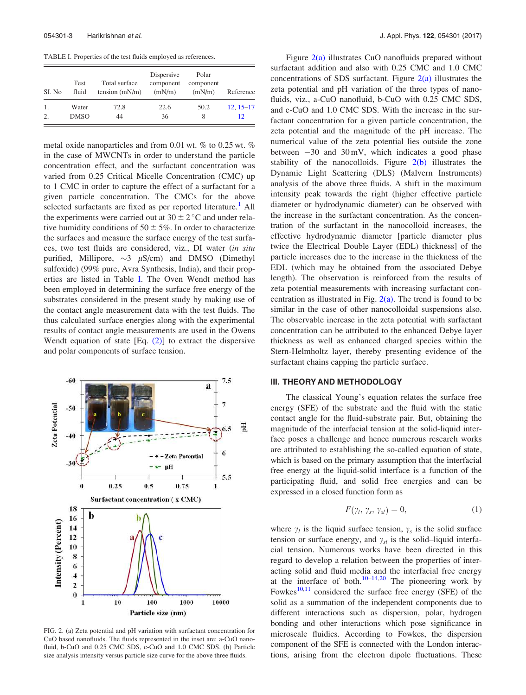TABLE I. Properties of the test fluids employed as references.

| SI. No | <b>Test</b><br>fluid | Total surface<br>tension $(mN/m)$ | Dispersive<br>component<br>(mN/m) | Polar<br>component<br>(mN/m) | Reference     |
|--------|----------------------|-----------------------------------|-----------------------------------|------------------------------|---------------|
| 1.     | Water                | 72.8                              | 22.6                              | 50.2                         | $12, 15 - 17$ |
| 2.     | <b>DMSO</b>          | 44                                | 36                                | 8                            | 12            |

metal oxide nanoparticles and from 0.01 wt. % to 0.25 wt. % in the case of MWCNTs in order to understand the particle concentration effect, and the surfactant concentration was varied from 0.25 Critical Micelle Concentration (CMC) up to 1 CMC in order to capture the effect of a surfactant for a given particle concentration. The CMCs for the above selected surfactants are fixed as per reported literature.<sup>1</sup> All the experiments were carried out at  $30 \pm 2$  °C and under relative humidity conditions of  $50 \pm 5\%$ . In order to characterize the surfaces and measure the surface energy of the test surfaces, two test fluids are considered, viz., DI water (in situ purified, Millipore,  $\sim$ 3  $\mu$ S/cm) and DMSO (Dimethyl sulfoxide) (99% pure, Avra Synthesis, India), and their properties are listed in Table I. The Oven Wendt method has been employed in determining the surface free energy of the substrates considered in the present study by making use of the contact angle measurement data with the test fluids. The thus calculated surface energies along with the experimental results of contact angle measurements are used in the Owens Wendt equation of state  $[Eq. (2)]$  to extract the dispersive and polar components of surface tension.



FIG. 2. (a) Zeta potential and pH variation with surfactant concentration for CuO based nanofluids. The fluids represented in the inset are: a-CuO nanofluid, b-CuO and 0.25 CMC SDS, c-CuO and 1.0 CMC SDS. (b) Particle size analysis intensity versus particle size curve for the above three fluids.

Figure 2(a) illustrates CuO nanofluids prepared without surfactant addition and also with 0.25 CMC and 1.0 CMC concentrations of SDS surfactant. Figure  $2(a)$  illustrates the zeta potential and pH variation of the three types of nanofluids, viz., a-CuO nanofluid, b-CuO with 0.25 CMC SDS, and c-CuO and 1.0 CMC SDS. With the increase in the surfactant concentration for a given particle concentration, the zeta potential and the magnitude of the pH increase. The numerical value of the zeta potential lies outside the zone between  $-30$  and  $30 \text{ mV}$ , which indicates a good phase stability of the nanocolloids. Figure  $2(b)$  illustrates the Dynamic Light Scattering (DLS) (Malvern Instruments) analysis of the above three fluids. A shift in the maximum intensity peak towards the right (higher effective particle diameter or hydrodynamic diameter) can be observed with the increase in the surfactant concentration. As the concentration of the surfactant in the nanocolloid increases, the effective hydrodynamic diameter [particle diameter plus twice the Electrical Double Layer (EDL) thickness] of the particle increases due to the increase in the thickness of the EDL (which may be obtained from the associated Debye length). The observation is reinforced from the results of zeta potential measurements with increasing surfactant concentration as illustrated in Fig. 2(a). The trend is found to be similar in the case of other nanocolloidal suspensions also. The observable increase in the zeta potential with surfactant concentration can be attributed to the enhanced Debye layer thickness as well as enhanced charged species within the Stern-Helmholtz layer, thereby presenting evidence of the surfactant chains capping the particle surface.

#### III. THEORY AND METHODOLOGY

The classical Young's equation relates the surface free energy (SFE) of the substrate and the fluid with the static contact angle for the fluid-substrate pair. But, obtaining the magnitude of the interfacial tension at the solid-liquid interface poses a challenge and hence numerous research works are attributed to establishing the so-called equation of state, which is based on the primary assumption that the interfacial free energy at the liquid-solid interface is a function of the participating fluid, and solid free energies and can be expressed in a closed function form as

$$
F(\gamma_l, \gamma_s, \gamma_{sl}) = 0, \qquad (1)
$$

where  $\gamma_l$  is the liquid surface tension,  $\gamma_s$  is the solid surface tension or surface energy, and  $\gamma_{sl}$  is the solid–liquid interfacial tension. Numerous works have been directed in this regard to develop a relation between the properties of interacting solid and fluid media and the interfacial free energy at the interface of both.<sup>10–14,20</sup> The pioneering work by Fowkes $^{10,11}$  considered the surface free energy (SFE) of the solid as a summation of the independent components due to different interactions such as dispersion, polar, hydrogen bonding and other interactions which pose significance in microscale fluidics. According to Fowkes, the dispersion component of the SFE is connected with the London interactions, arising from the electron dipole fluctuations. These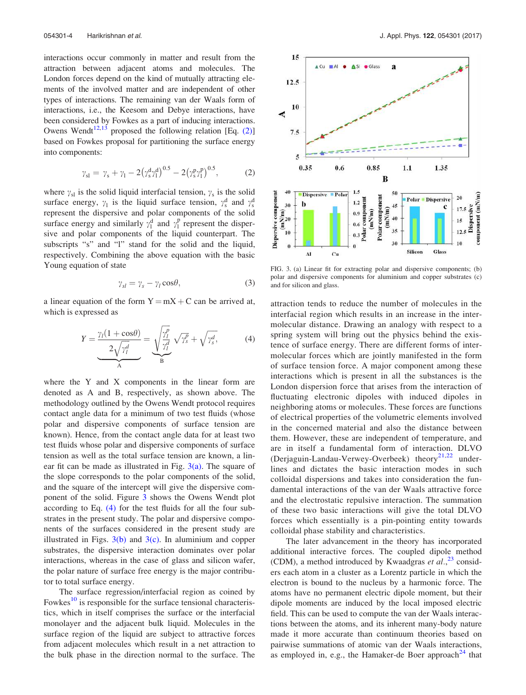interactions occur commonly in matter and result from the attraction between adjacent atoms and molecules. The London forces depend on the kind of mutually attracting elements of the involved matter and are independent of other types of interactions. The remaining van der Waals form of interactions, i.e., the Keesom and Debye interactions, have been considered by Fowkes as a part of inducing interactions. Owens Wendt<sup>12,13</sup> proposed the following relation [Eq.  $(2)$ ] based on Fowkes proposal for partitioning the surface energy into components:

$$
\gamma_{sl} = \gamma_s + \gamma_l - 2(\gamma_s^d \gamma_l^d)^{0.5} - 2(\gamma_s^p \gamma_l^p)^{0.5},\tag{2}
$$

where  $\gamma_{sl}$  is the solid liquid interfacial tension,  $\gamma_s$  is the solid surface energy,  $\gamma_1$  is the liquid surface tension,  $\gamma_s^d$  and  $\gamma_s^d$ represent the dispersive and polar components of the solid surface energy and similarly  $\gamma_1^d$  and  $\gamma_1^p$  represent the dispersive and polar components of the liquid counterpart. The subscripts "s" and "l" stand for the solid and the liquid, respectively. Combining the above equation with the basic Young equation of state

$$
\gamma_{sl} = \gamma_s - \gamma_l \cos \theta, \tag{3}
$$

a linear equation of the form  $Y = mX + C$  can be arrived at, which is expressed as

$$
Y = \underbrace{\frac{\gamma_l(1 + \cos\theta)}{2\sqrt{\gamma_l^d}}}_{A} = \underbrace{\sqrt{\frac{\gamma_l^p}{\gamma_l^d}}}_{B} \sqrt{\gamma_s^p} + \sqrt{\gamma_s^d},\tag{4}
$$

where the Y and X components in the linear form are denoted as A and B, respectively, as shown above. The methodology outlined by the Owens Wendt protocol requires contact angle data for a minimum of two test fluids (whose polar and dispersive components of surface tension are known). Hence, from the contact angle data for at least two test fluids whose polar and dispersive components of surface tension as well as the total surface tension are known, a linear fit can be made as illustrated in Fig.  $3(a)$ . The square of the slope corresponds to the polar components of the solid, and the square of the intercept will give the dispersive component of the solid. Figure 3 shows the Owens Wendt plot according to Eq. (4) for the test fluids for all the four substrates in the present study. The polar and dispersive components of the surfaces considered in the present study are illustrated in Figs.  $3(b)$  and  $3(c)$ . In aluminium and copper substrates, the dispersive interaction dominates over polar interactions, whereas in the case of glass and silicon wafer, the polar nature of surface free energy is the major contributor to total surface energy.

The surface regression/interfacial region as coined by Fowkes $^{10}$  is responsible for the surface tensional characteristics, which in itself comprises the surface or the interfacial monolayer and the adjacent bulk liquid. Molecules in the surface region of the liquid are subject to attractive forces from adjacent molecules which result in a net attraction to the bulk phase in the direction normal to the surface. The



FIG. 3. (a) Linear fit for extracting polar and dispersive components; (b) polar and dispersive components for aluminium and copper substrates (c) and for silicon and glass.

attraction tends to reduce the number of molecules in the interfacial region which results in an increase in the intermolecular distance. Drawing an analogy with respect to a spring system will bring out the physics behind the existence of surface energy. There are different forms of intermolecular forces which are jointly manifested in the form of surface tension force. A major component among these interactions which is present in all the substances is the London dispersion force that arises from the interaction of fluctuating electronic dipoles with induced dipoles in neighboring atoms or molecules. These forces are functions of electrical properties of the volumetric elements involved in the concerned material and also the distance between them. However, these are independent of temperature, and are in itself a fundamental form of interaction. DLVO (Derjaguin-Landau-Verwey-Overbeek) theory<sup>21,22</sup> underlines and dictates the basic interaction modes in such colloidal dispersions and takes into consideration the fundamental interactions of the van der Waals attractive force and the electrostatic repulsive interaction. The summation of these two basic interactions will give the total DLVO forces which essentially is a pin-pointing entity towards colloidal phase stability and characteristics.

The later advancement in the theory has incorporated additional interactive forces. The coupled dipole method (CDM), a method introduced by Kwaadgras et  $al.^{23}$  considers each atom in a cluster as a Lorentz particle in which the electron is bound to the nucleus by a harmonic force. The atoms have no permanent electric dipole moment, but their dipole moments are induced by the local imposed electric field. This can be used to compute the van der Waals interactions between the atoms, and its inherent many-body nature made it more accurate than continuum theories based on pairwise summations of atomic van der Waals interactions, as employed in, e.g., the Hamaker-de Boer approach<sup>24</sup> that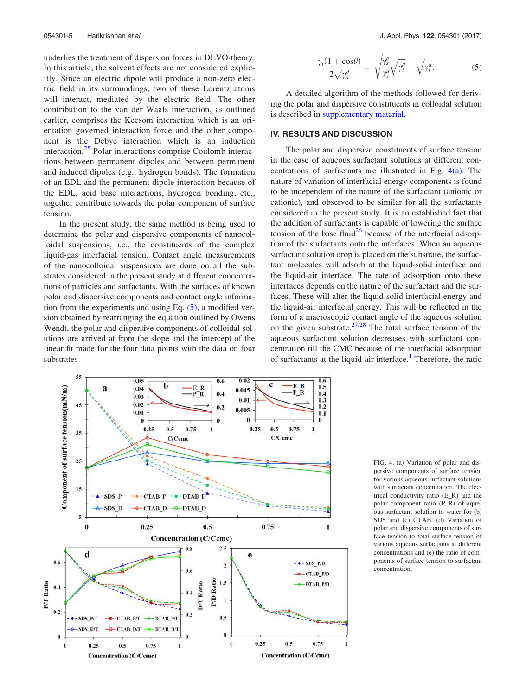underlies the treatment of dispersion forces in DLVO-theory. In this article, the solvent effects are not considered explicitly. Since an electric dipole will produce a non-zero electric field in its surroundings, two of these Lorentz atoms will interact, mediated by the electric field. The other contribution to the van der Waals interaction, as outlined earlier, comprises the Keesom interaction which is an orientation governed interaction force and the other component is the Debye interaction which is an induction interaction.<sup>25</sup> Polar interactions comprise Coulomb interactions between permanent dipoles and between permanent and induced dipoles (e.g., hydrogen bonds). The formation of an EDL and the permanent dipole interaction because of the EDL, acid base interactions, hydrogen bonding, etc., together contribute towards the polar component of surface tension.

In the present study, the same method is being used to determine the polar and dispersive components of nanocolloidal suspensions, i.e., the constituents of the complex liquid-gas interfacial tension. Contact angle measurements of the nanocolloidal suspensions are done on all the substrates considered in the present study at different concentrations of particles and surfactants. With the surfaces of known polar and dispersive components and contact angle information from the experiments and using Eq.  $(5)$ , a modified version obtained by rearranging the equation outlined by Owens Wendt, the polar and dispersive components of colloidal solutions are arrived at from the slope and the intercept of the linear fit made for the four data points with the data on four substrates

$$
\frac{\gamma_l (1 + \cos \theta)}{2 \sqrt{\gamma_s^d}} = \sqrt{\frac{\gamma_s^p}{\gamma_s^d}} \sqrt{\gamma_l^p} + \sqrt{\gamma_l^d}.
$$
 (5)

A detailed algorithm of the methods followed for deriving the polar and dispersive constituents in colloidal solution is described in supplementary material.

#### IV. RESULTS AND DISCUSSION

The polar and dispersive constituents of surface tension in the case of aqueous surfactant solutions at different concentrations of surfactants are illustrated in Fig.  $4(a)$ . The nature of variation of interfacial energy components is found to be independent of the nature of the surfactant (anionic or cationic), and observed to be similar for all the surfactants considered in the present study. It is an established fact that the addition of surfactants is capable of lowering the surface tension of the base fluid<sup>26</sup> because of the interfacial adsorption of the surfactants onto the interfaces. When an aqueous surfactant solution drop is placed on the substrate, the surfactant molecules will adsorb at the liquid-solid interface and the liquid-air interface. The rate of adsorption onto these interfaces depends on the nature of the surfactant and the surfaces. These will alter the liquid-solid interfacial energy and the liquid-air interfacial energy. This will be reflected in the form of a macroscopic contact angle of the aqueous solution on the given substrate. $27,28$  The total surface tension of the aqueous surfactant solution decreases with surfactant concentration till the CMC because of the interfacial adsorption of surfactants at the liquid-air interface.<sup>1</sup> Therefore, the ratio



FIG. 4. (a) Variation of polar and dispersive components of surface tension for various aqueous surfactant solutions with surfactant concentration. The electrical conductivity ratio (E\_R) and the polar component ratio (P\_R) of aqueous surfactant solution to water for (b) SDS and (c) CTAB. (d) Variation of polar and dispersive components of surface tension to total surface tension of various aqueous surfactants at different concentrations and (e) the ratio of components of surface tension to surfactant concentration.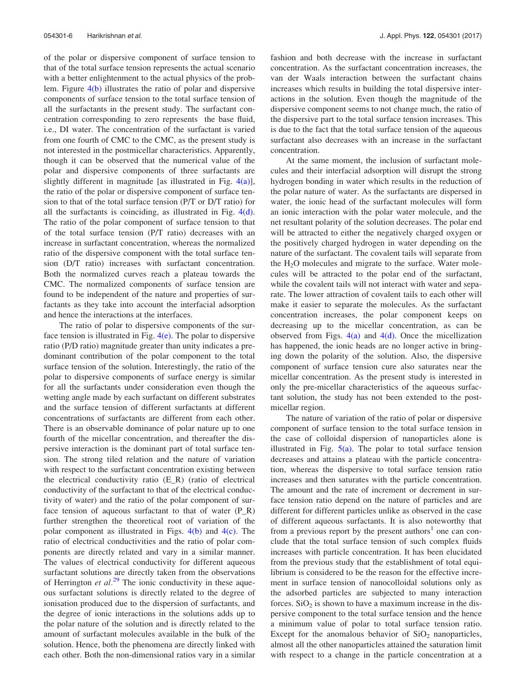of the polar or dispersive component of surface tension to that of the total surface tension represents the actual scenario with a better enlightenment to the actual physics of the problem. Figure 4(b) illustrates the ratio of polar and dispersive components of surface tension to the total surface tension of all the surfactants in the present study. The surfactant concentration corresponding to zero represents the base fluid, i.e., DI water. The concentration of the surfactant is varied from one fourth of CMC to the CMC, as the present study is not interested in the postmicellar characteristics. Apparently, though it can be observed that the numerical value of the polar and dispersive components of three surfactants are slightly different in magnitude [as illustrated in Fig. 4(a)], the ratio of the polar or dispersive component of surface tension to that of the total surface tension (P/T or D/T ratio) for all the surfactants is coinciding, as illustrated in Fig. 4(d). The ratio of the polar component of surface tension to that of the total surface tension (P/T ratio) decreases with an increase in surfactant concentration, whereas the normalized ratio of the dispersive component with the total surface tension (D/T ratio) increases with surfactant concentration. Both the normalized curves reach a plateau towards the CMC. The normalized components of surface tension are found to be independent of the nature and properties of surfactants as they take into account the interfacial adsorption and hence the interactions at the interfaces.

The ratio of polar to dispersive components of the surface tension is illustrated in Fig.  $4(e)$ . The polar to dispersive ratio (P/D ratio) magnitude greater than unity indicates a predominant contribution of the polar component to the total surface tension of the solution. Interestingly, the ratio of the polar to dispersive components of surface energy is similar for all the surfactants under consideration even though the wetting angle made by each surfactant on different substrates and the surface tension of different surfactants at different concentrations of surfactants are different from each other. There is an observable dominance of polar nature up to one fourth of the micellar concentration, and thereafter the dispersive interaction is the dominant part of total surface tension. The strong tiled relation and the nature of variation with respect to the surfactant concentration existing between the electrical conductivity ratio (E\_R) (ratio of electrical conductivity of the surfactant to that of the electrical conductivity of water) and the ratio of the polar component of surface tension of aqueous surfactant to that of water  $(P_R)$ further strengthen the theoretical root of variation of the polar component as illustrated in Figs.  $4(b)$  and  $4(c)$ . The ratio of electrical conductivities and the ratio of polar components are directly related and vary in a similar manner. The values of electrical conductivity for different aqueous surfactant solutions are directly taken from the observations of Herrington *et al.*<sup>29</sup> The ionic conductivity in these aqueous surfactant solutions is directly related to the degree of ionisation produced due to the dispersion of surfactants, and the degree of ionic interactions in the solutions adds up to the polar nature of the solution and is directly related to the amount of surfactant molecules available in the bulk of the solution. Hence, both the phenomena are directly linked with each other. Both the non-dimensional ratios vary in a similar fashion and both decrease with the increase in surfactant concentration. As the surfactant concentration increases, the van der Waals interaction between the surfactant chains increases which results in building the total dispersive interactions in the solution. Even though the magnitude of the dispersive component seems to not change much, the ratio of the dispersive part to the total surface tension increases. This is due to the fact that the total surface tension of the aqueous surfactant also decreases with an increase in the surfactant concentration.

At the same moment, the inclusion of surfactant molecules and their interfacial adsorption will disrupt the strong hydrogen bonding in water which results in the reduction of the polar nature of water. As the surfactants are dispersed in water, the ionic head of the surfactant molecules will form an ionic interaction with the polar water molecule, and the net resultant polarity of the solution decreases. The polar end will be attracted to either the negatively charged oxygen or the positively charged hydrogen in water depending on the nature of the surfactant. The covalent tails will separate from the  $H_2O$  molecules and migrate to the surface. Water molecules will be attracted to the polar end of the surfactant, while the covalent tails will not interact with water and separate. The lower attraction of covalent tails to each other will make it easier to separate the molecules. As the surfactant concentration increases, the polar component keeps on decreasing up to the micellar concentration, as can be observed from Figs.  $4(a)$  and  $4(d)$ . Once the micellization has happened, the ionic heads are no longer active in bringing down the polarity of the solution. Also, the dispersive component of surface tension cure also saturates near the micellar concentration. As the present study is interested in only the pre-micellar characteristics of the aqueous surfactant solution, the study has not been extended to the postmicellar region.

The nature of variation of the ratio of polar or dispersive component of surface tension to the total surface tension in the case of colloidal dispersion of nanoparticles alone is illustrated in Fig.  $5(a)$ . The polar to total surface tension decreases and attains a plateau with the particle concentration, whereas the dispersive to total surface tension ratio increases and then saturates with the particle concentration. The amount and the rate of increment or decrement in surface tension ratio depend on the nature of particles and are different for different particles unlike as observed in the case of different aqueous surfactants. It is also noteworthy that from a previous report by the present authors<sup>1</sup> one can conclude that the total surface tension of such complex fluids increases with particle concentration. It has been elucidated from the previous study that the establishment of total equilibrium is considered to be the reason for the effective increment in surface tension of nanocolloidal solutions only as the adsorbed particles are subjected to many interaction forces.  $SiO<sub>2</sub>$  is shown to have a maximum increase in the dispersive component to the total surface tension and the hence a minimum value of polar to total surface tension ratio. Except for the anomalous behavior of  $SiO<sub>2</sub>$  nanoparticles, almost all the other nanoparticles attained the saturation limit with respect to a change in the particle concentration at a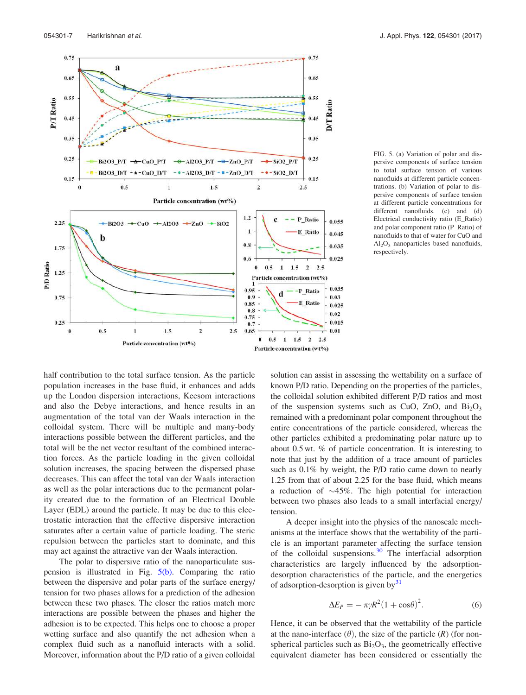

FIG. 5. (a) Variation of polar and dispersive components of surface tension to total surface tension of various nanofluids at different particle concentrations. (b) Variation of polar to dispersive components of surface tension at different particle concentrations for different nanofluids. (c) and (d) Electrical conductivity ratio (E\_Ratio) and polar component ratio (P\_Ratio) of nanofluids to that of water for CuO and  $Al_2O_3$  nanoparticles based nanofluids, respectively.

half contribution to the total surface tension. As the particle population increases in the base fluid, it enhances and adds up the London dispersion interactions, Keesom interactions and also the Debye interactions, and hence results in an augmentation of the total van der Waals interaction in the colloidal system. There will be multiple and many-body interactions possible between the different particles, and the total will be the net vector resultant of the combined interaction forces. As the particle loading in the given colloidal solution increases, the spacing between the dispersed phase decreases. This can affect the total van der Waals interaction as well as the polar interactions due to the permanent polarity created due to the formation of an Electrical Double Layer (EDL) around the particle. It may be due to this electrostatic interaction that the effective dispersive interaction saturates after a certain value of particle loading. The steric repulsion between the particles start to dominate, and this may act against the attractive van der Waals interaction.

The polar to dispersive ratio of the nanoparticulate suspension is illustrated in Fig. 5(b). Comparing the ratio between the dispersive and polar parts of the surface energy/ tension for two phases allows for a prediction of the adhesion between these two phases. The closer the ratios match more interactions are possible between the phases and higher the adhesion is to be expected. This helps one to choose a proper wetting surface and also quantify the net adhesion when a complex fluid such as a nanofluid interacts with a solid. Moreover, information about the P/D ratio of a given colloidal solution can assist in assessing the wettability on a surface of known P/D ratio. Depending on the properties of the particles, the colloidal solution exhibited different P/D ratios and most of the suspension systems such as CuO, ZnO, and  $Bi<sub>2</sub>O<sub>3</sub>$ remained with a predominant polar component throughout the entire concentrations of the particle considered, whereas the other particles exhibited a predominating polar nature up to about 0.5 wt. % of particle concentration. It is interesting to note that just by the addition of a trace amount of particles such as 0.1% by weight, the P/D ratio came down to nearly 1.25 from that of about 2.25 for the base fluid, which means a reduction of  $\sim$ 45%. The high potential for interaction between two phases also leads to a small interfacial energy/ tension.

A deeper insight into the physics of the nanoscale mechanisms at the interface shows that the wettability of the particle is an important parameter affecting the surface tension of the colloidal suspensions. $30$  The interfacial adsorption characteristics are largely influenced by the adsorptiondesorption characteristics of the particle, and the energetics of adsorption-desorption is given by $31$ 

$$
\Delta E_P = -\pi \gamma R^2 (1 + \cos \theta)^2. \tag{6}
$$

Hence, it can be observed that the wettability of the particle at the nano-interface  $(\theta)$ , the size of the particle  $(R)$  (for nonspherical particles such as  $Bi<sub>2</sub>O<sub>3</sub>$ , the geometrically effective equivalent diameter has been considered or essentially the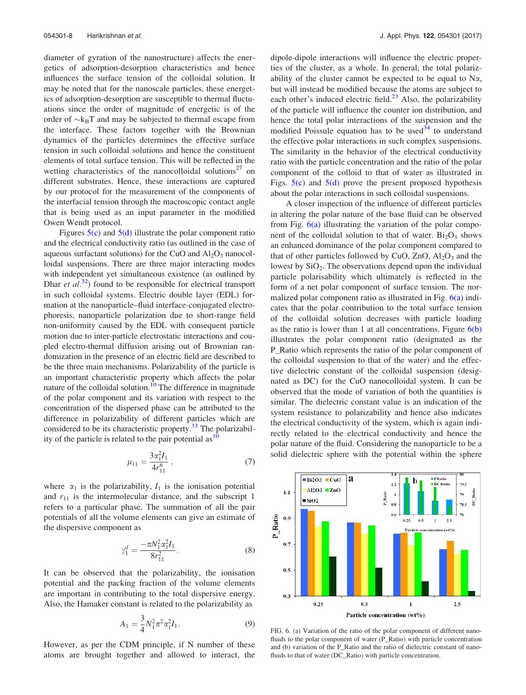diameter of gyration of the nanostructure) affects the energetics of adsorption-desorption characteristics and hence influences the surface tension of the colloidal solution. It may be noted that for the nanoscale particles, these energetics of adsorption-desorption are susceptible to thermal fluctuations since the order of magnitude of energetic is of the order of  $\sim k_BT$  and may be subjected to thermal escape from the interface. These factors together with the Brownian dynamics of the particles determines the effective surface tension in such colloidal solutions and hence the constituent elements of total surface tension. This will be reflected in the wetting characteristics of the nanocolloidal solutions<sup>27</sup> on different substrates. Hence, these interactions are captured by our protocol for the measurement of the components of the interfacial tension through the macroscopic contact angle that is being used as an input parameter in the modified Owen Wendt protocol.

Figures  $5(c)$  and  $5(d)$  illustrate the polar component ratio and the electrical conductivity ratio (as outlined in the case of aqueous surfactant solutions) for the CuO and  $Al_2O_3$  nanocolloidal suspensions. There are three major interacting modes with independent yet simultaneous existence (as outlined by Dhar et  $al^{32}$ ) found to be responsible for electrical transport in such colloidal systems. Electric double layer (EDL) formation at the nanoparticle–fluid interface-conjugated electrophoresis, nanoparticle polarization due to short-range field non-uniformity caused by the EDL with consequent particle motion due to inter-particle electrostatic interactions and coupled electro-thermal diffusion arising out of Brownian randomization in the presence of an electric field are described to be the three main mechanisms. Polarizability of the particle is an important characteristic property which affects the polar nature of the colloidal solution.<sup>10</sup> The difference in magnitude of the polar component and its variation with respect to the concentration of the dispersed phase can be attributed to the difference in polarizability of different particles which are considered to be its characteristic property.<sup>33</sup> The polarizability of the particle is related to the pair potential  $as<sup>10</sup>$ 

$$
\mu_{11} = \frac{3\alpha_1^2 I_1}{4r_{11}^6} \,,\tag{7}
$$

where  $\alpha_1$  is the polarizability,  $I_1$  is the ionisation potential and  $r_{11}$  is the intermolecular distance, and the subscript 1 refers to a particular phase. The summation of all the pair potentials of all the volume elements can give an estimate of the dispersive component as

$$
\gamma_1^d = \frac{-\pi N_1^2 \alpha_1^2 I_1}{8r_{11}^2}.
$$
\n(8)

It can be observed that the polarizability, the ionisation potential and the packing fraction of the volume elements are important in contributing to the total dispersive energy. Also, the Hamaker constant is related to the polarizability as

$$
A_1 = \frac{3}{4} N_1^2 \pi^2 \alpha_1^2 I_1.
$$
 (9)

However, as per the CDM principle, if N number of these atoms are brought together and allowed to interact, the dipole-dipole interactions will influence the electric properties of the cluster, as a whole. In general, the total polarizability of the cluster cannot be expected to be equal to  $N\alpha$ , but will instead be modified because the atoms are subject to each other's induced electric field. $^{23}$  Also, the polarizability of the particle will influence the counter ion distribution, and hence the total polar interactions of the suspension and the modified Poissule equation has to be used  $34$  to understand the effective polar interactions in such complex suspensions. The similarity in the behavior of the electrical conductivity ratio with the particle concentration and the ratio of the polar component of the colloid to that of water as illustrated in Figs.  $5(c)$  and  $5(d)$  prove the present proposed hypothesis about the polar interactions in such colloidal suspensions.

A closer inspection of the influence of different particles in altering the polar nature of the base fluid can be observed from Fig.  $6(a)$  illustrating the variation of the polar component of the colloidal solution to that of water.  $Bi<sub>2</sub>O<sub>3</sub>$  shows an enhanced dominance of the polar component compared to that of other particles followed by CuO,  $ZnO$ ,  $Al<sub>2</sub>O<sub>3</sub>$  and the lowest by  $SiO<sub>2</sub>$ . The observations depend upon the individual particle polarisability which ultimately is reflected in the form of a net polar component of surface tension. The normalized polar component ratio as illustrated in Fig.  $6(a)$  indicates that the polar contribution to the total surface tension of the colloidal solution decreases with particle loading as the ratio is lower than 1 at all concentrations. Figure  $6(b)$ illustrates the polar component ratio (designated as the P\_Ratio which represents the ratio of the polar component of the colloidal suspension to that of the water) and the effective dielectric constant of the colloidal suspension (designated as DC) for the CuO nanocolloidal system. It can be observed that the mode of variation of both the quantities is similar. The dielectric constant value is an indication of the system resistance to polarizability and hence also indicates the electrical conductivity of the system, which is again indirectly related to the electrical conductivity and hence the polar nature of the fluid. Considering the nanoparticle to be a solid dielectric sphere with the potential within the sphere



FIG. 6. (a) Variation of the ratio of the polar component of different nanofluids to the polar component of water (P\_Ratio) with particle concentration and (b) variation of the P\_Ratio and the ratio of dielectric constant of nanofluids to that of water (DC\_Ratio) with particle concentration.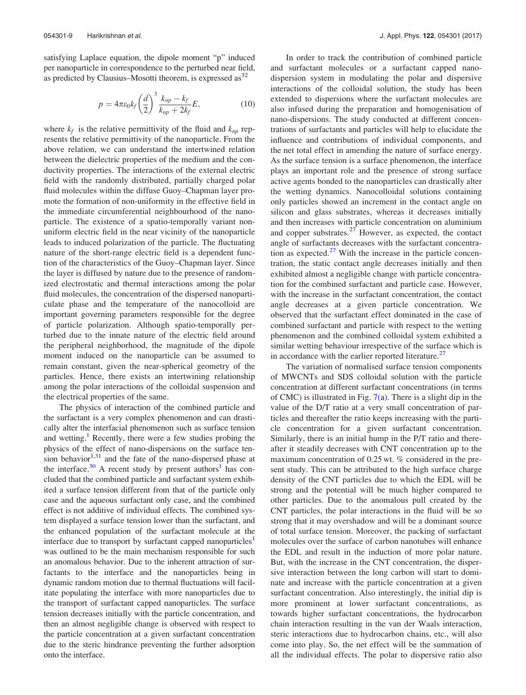satisfying Laplace equation, the dipole moment "p" induced per nanoparticle in correspondence to the perturbed near field, as predicted by Clausius–Mosotti theorem, is expressed  $\text{as}^{32}$ 

$$
p = 4\pi\varepsilon_0 k_f \left(\frac{d}{2}\right)^3 \frac{k_{np} - k_f}{k_{np} + 2k_f} E,\tag{10}
$$

where  $k_f$  is the relative permittivity of the fluid and  $k_{np}$  represents the relative permittivity of the nanoparticle. From the above relation, we can understand the intertwined relation between the dielectric properties of the medium and the conductivity properties. The interactions of the external electric field with the randomly distributed, partially charged polar fluid molecules within the diffuse Guoy–Chapman layer promote the formation of non-uniformity in the effective field in the immediate circumferential neighbourhood of the nanoparticle. The existence of a spatio-temporally variant nonuniform electric field in the near vicinity of the nanoparticle leads to induced polarization of the particle. The fluctuating nature of the short-range electric field is a dependent function of the characteristics of the Guoy–Chapman layer. Since the layer is diffused by nature due to the presence of randomized electrostatic and thermal interactions among the polar fluid molecules, the concentration of the dispersed nanoparticulate phase and the temperature of the nanocolloid are important governing parameters responsible for the degree of particle polarization. Although spatio-temporally perturbed due to the innate nature of the electric field around the peripheral neighborhood, the magnitude of the dipole moment induced on the nanoparticle can be assumed to remain constant, given the near-spherical geometry of the particles. Hence, there exists an intertwining relationship among the polar interactions of the colloidal suspension and the electrical properties of the same.

The physics of interaction of the combined particle and the surfactant is a very complex phenomenon and can drastically alter the interfacial phenomenon such as surface tension and wetting.<sup>1</sup> Recently, there were a few studies probing the physics of the effect of nano-dispersions on the surface tension behavior $1,31$  and the fate of the nano-dispersed phase at the interface.<sup>30</sup> A recent study by present authors<sup>1</sup> has concluded that the combined particle and surfactant system exhibited a surface tension different from that of the particle only case and the aqueous surfactant only case, and the combined effect is not additive of individual effects. The combined system displayed a surface tension lower than the surfactant, and the enhanced population of the surfactant molecule at the interface due to transport by surfactant capped nanoparticles<sup>1</sup> was outlined to be the main mechanism responsible for such an anomalous behavior. Due to the inherent attraction of surfactants to the interface and the nanoparticles being in dynamic random motion due to thermal fluctuations will facilitate populating the interface with more nanoparticles due to the transport of surfactant capped nanoparticles. The surface tension decreases initially with the particle concentration, and then an almost negligible change is observed with respect to the particle concentration at a given surfactant concentration due to the steric hindrance preventing the further adsorption onto the interface.

In order to track the contribution of combined particle and surfactant molecules or a surfactant capped nanodispersion system in modulating the polar and dispersive interactions of the colloidal solution, the study has been extended to dispersions where the surfactant molecules are also infused during the preparation and homogenisation of nano-dispersions. The study conducted at different concentrations of surfactants and particles will help to elucidate the influence and contributions of individual components, and the net total effect in amending the nature of surface energy. As the surface tension is a surface phenomenon, the interface plays an important role and the presence of strong surface active agents bonded to the nanoparticles can drastically alter the wetting dynamics. Nanocolloidal solutions containing only particles showed an increment in the contact angle on silicon and glass substrates, whereas it decreases initially and then increases with particle concentration on aluminium and copper substrates.<sup>27</sup> However, as expected, the contact angle of surfactants decreases with the surfactant concentration as expected. $27$  With the increase in the particle concentration, the static contact angle decreases initially and then exhibited almost a negligible change with particle concentration for the combined surfactant and particle case. However, with the increase in the surfactant concentration, the contact angle decreases at a given particle concentration. We observed that the surfactant effect dominated in the case of combined surfactant and particle with respect to the wetting phenomenon and the combined colloidal system exhibited a similar wetting behaviour irrespective of the surface which is in accordance with the earlier reported literature.<sup>27</sup>

The variation of normalised surface tension components of MWCNTs and SDS colloidal solution with the particle concentration at different surfactant concentrations (in terms of CMC) is illustrated in Fig.  $7(a)$ . There is a slight dip in the value of the D/T ratio at a very small concentration of particles and thereafter the ratio keeps increasing with the particle concentration for a given surfactant concentration. Similarly, there is an initial hump in the P/T ratio and thereafter it steadily decreases with CNT concentration up to the maximum concentration of 0.25 wt. % considered in the present study. This can be attributed to the high surface charge density of the CNT particles due to which the EDL will be strong and the potential will be much higher compared to other particles. Due to the anomalous pull created by the CNT particles, the polar interactions in the fluid will be so strong that it may overshadow and will be a dominant source of total surface tension. Moreover, the packing of surfactant molecules over the surface of carbon nanotubes will enhance the EDL and result in the induction of more polar nature. But, with the increase in the CNT concentration, the dispersive interaction between the long carbon will start to dominate and increase with the particle concentration at a given surfactant concentration. Also interestingly, the initial dip is more prominent at lower surfactant concentrations, as towards higher surfactant concentrations, the hydrocarbon chain interaction resulting in the van der Waals interaction, steric interactions due to hydrocarbon chains, etc., will also come into play. So, the net effect will be the summation of all the individual effects. The polar to dispersive ratio also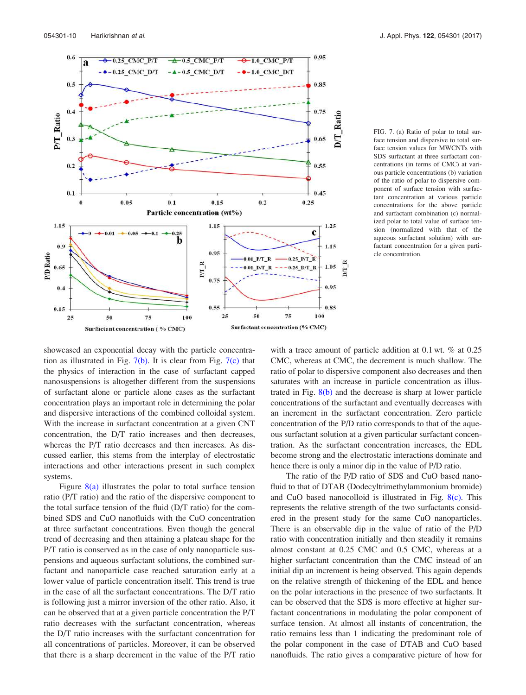

FIG. 7. (a) Ratio of polar to total surface tension and dispersive to total surface tension values for MWCNTs with SDS surfactant at three surfactant concentrations (in terms of CMC) at various particle concentrations (b) variation of the ratio of polar to dispersive component of surface tension with surfactant concentration at various particle concentrations for the above particle and surfactant combination (c) normalized polar to total value of surface tension (normalized with that of the aqueous surfactant solution) with surfactant concentration for a given particle concentration.

showcased an exponential decay with the particle concentration as illustrated in Fig.  $7(b)$ . It is clear from Fig.  $7(c)$  that the physics of interaction in the case of surfactant capped nanosuspensions is altogether different from the suspensions of surfactant alone or particle alone cases as the surfactant concentration plays an important role in determining the polar and dispersive interactions of the combined colloidal system. With the increase in surfactant concentration at a given CNT concentration, the D/T ratio increases and then decreases, whereas the P/T ratio decreases and then increases. As discussed earlier, this stems from the interplay of electrostatic interactions and other interactions present in such complex systems.

Figure  $8(a)$  illustrates the polar to total surface tension ratio (P/T ratio) and the ratio of the dispersive component to the total surface tension of the fluid (D/T ratio) for the combined SDS and CuO nanofluids with the CuO concentration at three surfactant concentrations. Even though the general trend of decreasing and then attaining a plateau shape for the P/T ratio is conserved as in the case of only nanoparticle suspensions and aqueous surfactant solutions, the combined surfactant and nanoparticle case reached saturation early at a lower value of particle concentration itself. This trend is true in the case of all the surfactant concentrations. The D/T ratio is following just a mirror inversion of the other ratio. Also, it can be observed that at a given particle concentration the P/T ratio decreases with the surfactant concentration, whereas the D/T ratio increases with the surfactant concentration for all concentrations of particles. Moreover, it can be observed that there is a sharp decrement in the value of the P/T ratio with a trace amount of particle addition at 0.1 wt. % at 0.25 CMC, whereas at CMC, the decrement is much shallow. The ratio of polar to dispersive component also decreases and then saturates with an increase in particle concentration as illustrated in Fig. 8(b) and the decrease is sharp at lower particle concentrations of the surfactant and eventually decreases with an increment in the surfactant concentration. Zero particle concentration of the P/D ratio corresponds to that of the aqueous surfactant solution at a given particular surfactant concentration. As the surfactant concentration increases, the EDL become strong and the electrostatic interactions dominate and hence there is only a minor dip in the value of P/D ratio.

The ratio of the P/D ratio of SDS and CuO based nanofluid to that of DTAB (Dodecyltrimethylammonium bromide) and CuO based nanocolloid is illustrated in Fig. 8(c). This represents the relative strength of the two surfactants considered in the present study for the same CuO nanoparticles. There is an observable dip in the value of ratio of the P/D ratio with concentration initially and then steadily it remains almost constant at 0.25 CMC and 0.5 CMC, whereas at a higher surfactant concentration than the CMC instead of an initial dip an increment is being observed. This again depends on the relative strength of thickening of the EDL and hence on the polar interactions in the presence of two surfactants. It can be observed that the SDS is more effective at higher surfactant concentrations in modulating the polar component of surface tension. At almost all instants of concentration, the ratio remains less than 1 indicating the predominant role of the polar component in the case of DTAB and CuO based nanofluids. The ratio gives a comparative picture of how for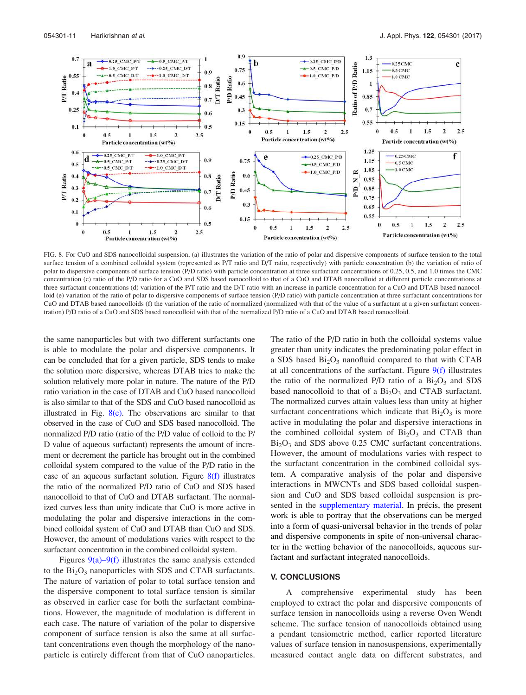

FIG. 8. For CuO and SDS nanocolloidal suspension, (a) illustrates the variation of the ratio of polar and dispersive components of surface tension to the total surface tension of a combined colloidal system (represented as P/T ratio and D/T ratio, respectively) with particle concentration (b) the variation of ratio of polar to dispersive components of surface tension (P/D ratio) with particle concentration at three surfactant concentrations of 0.25, 0.5, and 1.0 times the CMC concentration (c) ratio of the P/D ratio for a CuO and SDS based nanocolloid to that of a CuO and DTAB nanocolloid at different particle concentrations at three surfactant concentrations (d) variation of the P/T ratio and the D/T ratio with an increase in particle concentration for a CuO and DTAB based nanocolloid (e) variation of the ratio of polar to dispersive components of surface tension (P/D ratio) with particle concentration at three surfactant concentrations for CuO and DTAB based nanocolloids (f) the variation of the ratio of normalized (normalized with that of the value of a surfactant at a given surfactant concentration) P/D ratio of a CuO and SDS based nanocolloid with that of the normalized P/D ratio of a CuO and DTAB based nanocolloid.

the same nanoparticles but with two different surfactants one is able to modulate the polar and dispersive components. It can be concluded that for a given particle, SDS tends to make the solution more dispersive, whereas DTAB tries to make the solution relatively more polar in nature. The nature of the P/D ratio variation in the case of DTAB and CuO based nanocolloid is also similar to that of the SDS and CuO based nanocolloid as illustrated in Fig.  $8(e)$ . The observations are similar to that observed in the case of CuO and SDS based nanocolloid. The normalized P/D ratio (ratio of the P/D value of colloid to the P/ D value of aqueous surfactant) represents the amount of increment or decrement the particle has brought out in the combined colloidal system compared to the value of the P/D ratio in the case of an aqueous surfactant solution. Figure  $8(f)$  illustrates the ratio of the normalized P/D ratio of CuO and SDS based nanocolloid to that of CuO and DTAB surfactant. The normalized curves less than unity indicate that CuO is more active in modulating the polar and dispersive interactions in the combined colloidal system of CuO and DTAB than CuO and SDS. However, the amount of modulations varies with respect to the surfactant concentration in the combined colloidal system.

Figures  $9(a)$ – $9(f)$  illustrates the same analysis extended to the  $Bi<sub>2</sub>O<sub>3</sub>$  nanoparticles with SDS and CTAB surfactants. The nature of variation of polar to total surface tension and the dispersive component to total surface tension is similar as observed in earlier case for both the surfactant combinations. However, the magnitude of modulation is different in each case. The nature of variation of the polar to dispersive component of surface tension is also the same at all surfactant concentrations even though the morphology of the nanoparticle is entirely different from that of CuO nanoparticles. The ratio of the P/D ratio in both the colloidal systems value greater than unity indicates the predominating polar effect in a SDS based  $Bi<sub>2</sub>O<sub>3</sub>$  nanofluid compared to that with CTAB at all concentrations of the surfactant. Figure  $9(f)$  illustrates the ratio of the normalized P/D ratio of a  $Bi<sub>2</sub>O<sub>3</sub>$  and SDS based nanocolloid to that of a  $Bi<sub>2</sub>O<sub>3</sub>$  and CTAB surfactant. The normalized curves attain values less than unity at higher surfactant concentrations which indicate that  $Bi<sub>2</sub>O<sub>3</sub>$  is more active in modulating the polar and dispersive interactions in the combined colloidal system of  $Bi<sub>2</sub>O<sub>3</sub>$  and CTAB than  $Bi<sub>2</sub>O<sub>3</sub>$  and SDS above 0.25 CMC surfactant concentrations. However, the amount of modulations varies with respect to the surfactant concentration in the combined colloidal system. A comparative analysis of the polar and dispersive interactions in MWCNTs and SDS based colloidal suspension and CuO and SDS based colloidal suspension is presented in the supplementary material. In précis, the present work is able to portray that the observations can be merged into a form of quasi-universal behavior in the trends of polar and dispersive components in spite of non-universal character in the wetting behavior of the nanocolloids, aqueous surfactant and surfactant integrated nanocolloids.

#### V. CONCLUSIONS

A comprehensive experimental study has been employed to extract the polar and dispersive components of surface tension in nanocolloids using a reverse Oven Wendt scheme. The surface tension of nanocolloids obtained using a pendant tensiometric method, earlier reported literature values of surface tension in nanosuspensions, experimentally measured contact angle data on different substrates, and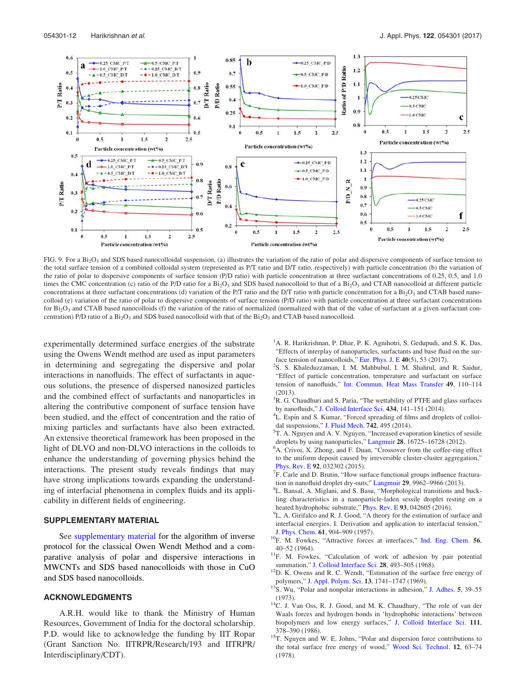

FIG. 9. For a Bi<sub>2</sub>O<sub>3</sub> and SDS based nanocolloidal suspension, (a) illustrates the variation of the ratio of polar and dispersive components of surface tension to the total surface tension of a combined colloidal system (represented as P/T ratio and D/T ratio, respectively) with particle concentration (b) the variation of the ratio of polar to dispersive components of surface tension (P/D ratio) with particle concentration at three surfactant concentrations of 0.25, 0.5, and 1.0 times the CMC concentration (c) ratio of the P/D ratio for a Bi<sub>2</sub>O<sub>3</sub> and SDS based nanocolloid to that of a Bi<sub>2</sub>O<sub>3</sub> and CTAB nanocolloid at different particle concentrations at three surfactant concentrations (d) variation of the P/T ratio and the D/T ratio with particle concentration for a  $Bi<sub>2</sub>O<sub>3</sub>$  and CTAB based nanocolloid (e) variation of the ratio of polar to dispersive components of surface tension (P/D ratio) with particle concentration at three surfactant concentrations for  $Bi<sub>2</sub>O<sub>3</sub>$  and CTAB based nanocolloids (f) the variation of the ratio of normalized (normalized with that of the value of surfactant at a given surfactant concentration) P/D ratio of a Bi<sub>2</sub>O<sub>3</sub> and SDS based nanocolloid with that of the Bi<sub>2</sub>O<sub>3</sub> and CTAB based nanocolloid.

experimentally determined surface energies of the substrate using the Owens Wendt method are used as input parameters in determining and segregating the dispersive and polar interactions in nanofluids. The effect of surfactants in aqueous solutions, the presence of dispersed nanosized particles and the combined effect of surfactants and nanoparticles in altering the contributive component of surface tension have been studied, and the effect of concentration and the ratio of mixing particles and surfactants have also been extracted. An extensive theoretical framework has been proposed in the light of DLVO and non-DLVO interactions in the colloids to enhance the understanding of governing physics behind the interactions. The present study reveals findings that may have strong implications towards expanding the understanding of interfacial phenomena in complex fluids and its applicability in different fields of engineering.

#### SUPPLEMENTARY MATERIAL

See supplementary material for the algorithm of inverse protocol for the classical Owen Wendt Method and a comparative analysis of polar and dispersive interactions in MWCNTs and SDS based nanocolloids with those in CuO and SDS based nanocolloids.

#### ACKNOWLEDGMENTS

A.R.H. would like to thank the Ministry of Human Resources, Government of India for the doctoral scholarship. P.D. would like to acknowledge the funding by IIT Ropar (Grant Sanction No. IITRPR/Research/193 and IITRPR/ Interdisciplinary/CDT).

- <sup>1</sup>A. R. Harikrishnan, P. Dhar, P. K. Agnihotri, S. Gedupudi, and S. K. Das, "Effects of interplay of nanoparticles, surfactants and base fluid on the surface tension of nanocolloids," Eur. Phys. J. E 40(5), 53 (2017).
- 2 S. S. Khaleduzzaman, I. M. Mahbubul, I. M. Shahrul, and R. Saidur, "Effect of particle concentration, temperature and surfactant on surface tension of nanofluids," Int. Commun. Heat Mass Transfer 49, 110–114 (2013).
- ${}^{3}R$ . G. Chaudhuri and S. Paria, "The wettability of PTFE and glass surfaces by nanofluids," J. Colloid Interface Sci. 434, 141–151 (2014).
- <sup>4</sup>L. Espín and S. Kumar, "Forced spreading of films and droplets of colloidal suspensions," J. Fluid Mech. 742, 495 (2014).
- 5 T. A. Nguyen and A. V. Nguyen, "Increased evaporation kinetics of sessile droplets by using nanoparticles," Langmuir 28, 16725–16728 (2012).
- ${}^{6}$ A. Crivoi, X. Zhong, and F. Duan, "Crossover from the coffee-ring effect to the uniform deposit caused by irreversible cluster-cluster aggregation," Phys. Rev. E 92, 032302 (2015).
- <sup>7</sup>F. Carle and D. Brutin, "How surface functional groups influence fracturation in nanofluid droplet dry-outs," Langmuir 29, 9962–9966 (2013).
- 8 L. Bansal, A. Miglani, and S. Basu, "Morphological transitions and buckling characteristics in a nanoparticle-laden sessile droplet resting on a heated hydrophobic substrate," Phys. Rev. E 93, 042605 (2016).
- <sup>9</sup>L. A. Girifalco and R. J. Good, "A theory for the estimation of surface and interfacial energies. I. Derivation and application to interfacial tension," J. Phys. Chem. 61, 904–909 (1957).
- <sup>10</sup>F. M. Fowkes, "Attractive forces at interfaces," Ind. Eng. Chem. 56, 40–52 (1964).
- <sup>11</sup>F. M. Fowkes, "Calculation of work of adhesion by pair potential summation," J. Colloid Interface Sci. 28, 493–505 (1968).
- <sup>12</sup>D. K. Owens and R. C. Wendt, "Estimation of the surface free energy of polymers," J. Appl. Polym. Sci. 13, 1741–1747 (1969).
- $13S$ . Wu, "Polar and nonpolar interactions in adhesion," J. Adhes. 5, 39–55 (1973).
- <sup>14</sup>C. J. Van Oss, R. J. Good, and M. K. Chaudhury, "The role of van der Waals forces and hydrogen bonds in 'hydrophobic interactions' between biopolymers and low energy surfaces," J. Colloid Interface Sci. 111, 378–390 (1986).
- <sup>15</sup>T. Nguyen and W. E. Johns, "Polar and dispersion force contributions to the total surface free energy of wood," Wood Sci. Technol. 12, 63–74 (1978).